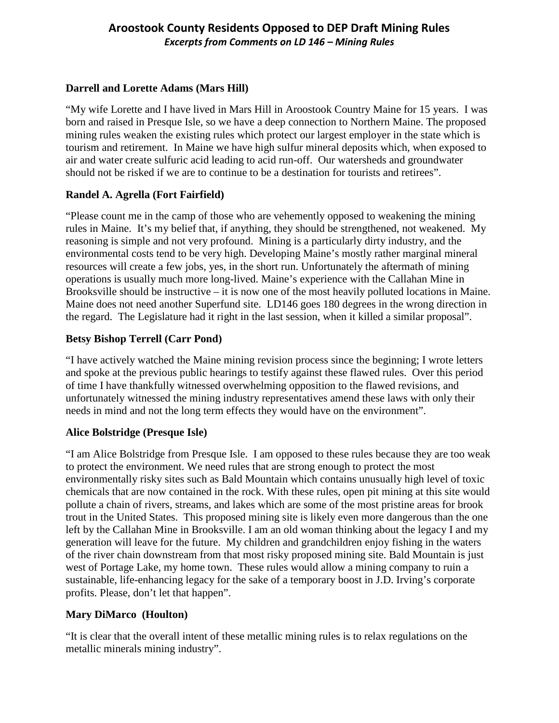# **Aroostook County Residents Opposed to DEP Draft Mining Rules** *Excerpts from Comments on LD 146 – Mining Rules*

## **Darrell and Lorette Adams (Mars Hill)**

"My wife Lorette and I have lived in Mars Hill in Aroostook Country Maine for 15 years. I was born and raised in Presque Isle, so we have a deep connection to Northern Maine. The proposed mining rules weaken the existing rules which protect our largest employer in the state which is tourism and retirement. In Maine we have high sulfur mineral deposits which, when exposed to air and water create sulfuric acid leading to acid run-off. Our watersheds and groundwater should not be risked if we are to continue to be a destination for tourists and retirees".

## **Randel A. Agrella (Fort Fairfield)**

"Please count me in the camp of those who are vehemently opposed to weakening the mining rules in Maine. It's my belief that, if anything, they should be strengthened, not weakened. My reasoning is simple and not very profound. Mining is a particularly dirty industry, and the environmental costs tend to be very high. Developing Maine's mostly rather marginal mineral resources will create a few jobs, yes, in the short run. Unfortunately the aftermath of mining operations is usually much more long-lived. Maine's experience with the Callahan Mine in Brooksville should be instructive – it is now one of the most heavily polluted locations in Maine. Maine does not need another Superfund site. LD146 goes 180 degrees in the wrong direction in the regard. The Legislature had it right in the last session, when it killed a similar proposal".

## **Betsy Bishop Terrell (Carr Pond)**

"I have actively watched the Maine mining revision process since the beginning; I wrote letters and spoke at the previous public hearings to testify against these flawed rules. Over this period of time I have thankfully witnessed overwhelming opposition to the flawed revisions, and unfortunately witnessed the mining industry representatives amend these laws with only their needs in mind and not the long term effects they would have on the environment".

## **Alice Bolstridge (Presque Isle)**

"I am Alice Bolstridge from Presque Isle. I am opposed to these rules because they are too weak to protect the environment. We need rules that are strong enough to protect the most environmentally risky sites such as Bald Mountain which contains unusually high level of toxic chemicals that are now contained in the rock. With these rules, open pit mining at this site would pollute a chain of rivers, streams, and lakes which are some of the most pristine areas for brook trout in the United States. This proposed mining site is likely even more dangerous than the one left by the Callahan Mine in Brooksville. I am an old woman thinking about the legacy I and my generation will leave for the future. My children and grandchildren enjoy fishing in the waters of the river chain downstream from that most risky proposed mining site. Bald Mountain is just west of Portage Lake, my home town. These rules would allow a mining company to ruin a sustainable, life-enhancing legacy for the sake of a temporary boost in J.D. Irving's corporate profits. Please, don't let that happen".

# **Mary DiMarco (Houlton)**

"It is clear that the overall intent of these metallic mining rules is to relax regulations on the metallic minerals mining industry".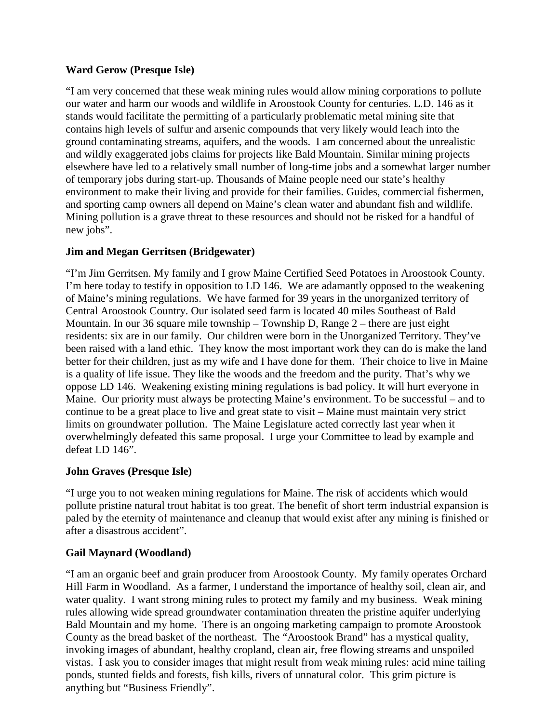## **Ward Gerow (Presque Isle)**

"I am very concerned that these weak mining rules would allow mining corporations to pollute our water and harm our woods and wildlife in Aroostook County for centuries. L.D. 146 as it stands would facilitate the permitting of a particularly problematic metal mining site that contains high levels of sulfur and arsenic compounds that very likely would leach into the ground contaminating streams, aquifers, and the woods. I am concerned about the unrealistic and wildly exaggerated jobs claims for projects like Bald Mountain. Similar mining projects elsewhere have led to a relatively small number of long-time jobs and a somewhat larger number of temporary jobs during start-up. Thousands of Maine people need our state's healthy environment to make their living and provide for their families. Guides, commercial fishermen, and sporting camp owners all depend on Maine's clean water and abundant fish and wildlife. Mining pollution is a grave threat to these resources and should not be risked for a handful of new jobs".

## **Jim and Megan Gerritsen (Bridgewater)**

"I'm Jim Gerritsen. My family and I grow Maine Certified Seed Potatoes in Aroostook County. I'm here today to testify in opposition to LD 146. We are adamantly opposed to the weakening of Maine's mining regulations. We have farmed for 39 years in the unorganized territory of Central Aroostook Country. Our isolated seed farm is located 40 miles Southeast of Bald Mountain. In our 36 square mile township – Township D, Range 2 – there are just eight residents: six are in our family. Our children were born in the Unorganized Territory. They've been raised with a land ethic. They know the most important work they can do is make the land better for their children, just as my wife and I have done for them. Their choice to live in Maine is a quality of life issue. They like the woods and the freedom and the purity. That's why we oppose LD 146. Weakening existing mining regulations is bad policy. It will hurt everyone in Maine. Our priority must always be protecting Maine's environment. To be successful – and to continue to be a great place to live and great state to visit – Maine must maintain very strict limits on groundwater pollution. The Maine Legislature acted correctly last year when it overwhelmingly defeated this same proposal. I urge your Committee to lead by example and defeat LD 146".

## **John Graves (Presque Isle)**

"I urge you to not weaken mining regulations for Maine. The risk of accidents which would pollute pristine natural trout habitat is too great. The benefit of short term industrial expansion is paled by the eternity of maintenance and cleanup that would exist after any mining is finished or after a disastrous accident".

## **Gail Maynard (Woodland)**

"I am an organic beef and grain producer from Aroostook County. My family operates Orchard Hill Farm in Woodland. As a farmer, I understand the importance of healthy soil, clean air, and water quality. I want strong mining rules to protect my family and my business. Weak mining rules allowing wide spread groundwater contamination threaten the pristine aquifer underlying Bald Mountain and my home. There is an ongoing marketing campaign to promote Aroostook County as the bread basket of the northeast. The "Aroostook Brand" has a mystical quality, invoking images of abundant, healthy cropland, clean air, free flowing streams and unspoiled vistas. I ask you to consider images that might result from weak mining rules: acid mine tailing ponds, stunted fields and forests, fish kills, rivers of unnatural color. This grim picture is anything but "Business Friendly".